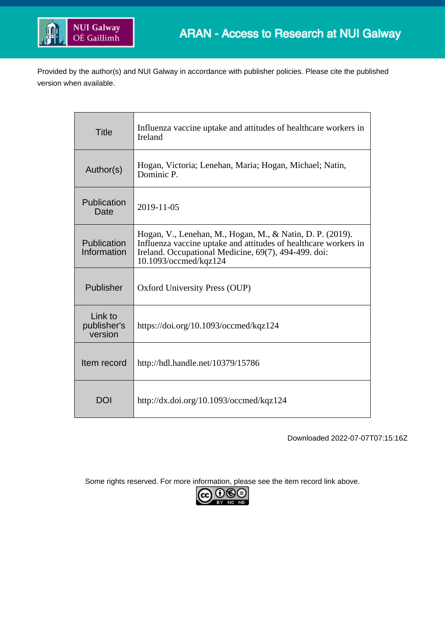

Provided by the author(s) and NUI Galway in accordance with publisher policies. Please cite the published version when available.

| <b>Title</b>                      | Influenza vaccine uptake and attitudes of healthcare workers in<br><b>Ireland</b>                                                                                                                             |
|-----------------------------------|---------------------------------------------------------------------------------------------------------------------------------------------------------------------------------------------------------------|
| Author(s)                         | Hogan, Victoria; Lenehan, Maria; Hogan, Michael; Natin,<br>Dominic P.                                                                                                                                         |
| Publication<br>Date               | 2019-11-05                                                                                                                                                                                                    |
| Publication<br>Information        | Hogan, V., Lenehan, M., Hogan, M., & Natin, D. P. (2019).<br>Influenza vaccine uptake and attitudes of healthcare workers in<br>Ireland. Occupational Medicine, 69(7), 494-499. doi:<br>10.1093/occmed/kqz124 |
| Publisher                         | Oxford University Press (OUP)                                                                                                                                                                                 |
| Link to<br>publisher's<br>version | https://doi.org/10.1093/occmed/kqz124                                                                                                                                                                         |
| Item record                       | http://hdl.handle.net/10379/15786                                                                                                                                                                             |
| DOI                               | http://dx.doi.org/10.1093/occmed/kqz124                                                                                                                                                                       |

Downloaded 2022-07-07T07:15:16Z

Some rights reserved. For more information, please see the item record link above.

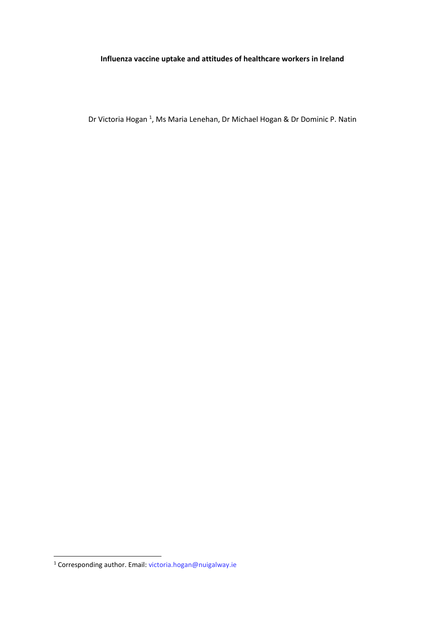## **Influenza vaccine uptake and attitudes of healthcare workers in Ireland**

Dr Victoria Hogan<sup>1</sup>, Ms Maria Lenehan, Dr Michael Hogan & Dr Dominic P. Natin

**.** 

<sup>&</sup>lt;sup>1</sup> Corresponding author. Email: [victoria.hogan@nuigalway.ie](mailto:victoria.hogan@nuigalway.ie)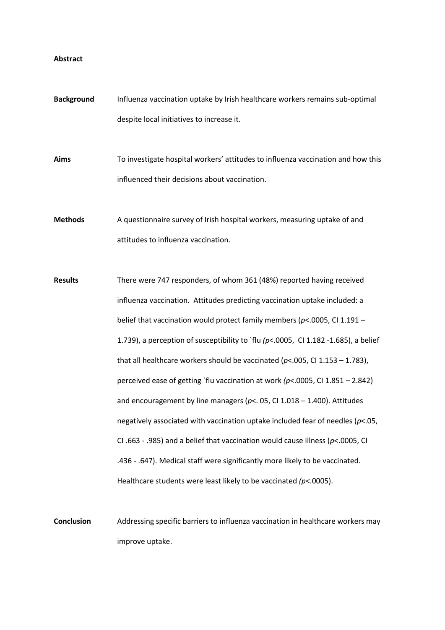#### **Abstract**

**Background** Influenza vaccination uptake by Irish healthcare workers remains sub-optimal despite local initiatives to increase it.

**Aims** To investigate hospital workers' attitudes to influenza vaccination and how this influenced their decisions about vaccination.

**Methods** A questionnaire survey of Irish hospital workers, measuring uptake of and attitudes to influenza vaccination.

**Results** There were 747 responders, of whom 361 (48%) reported having received influenza vaccination. Attitudes predicting vaccination uptake included: a belief that vaccination would protect family members (*p*<.0005, CI 1.191 – 1.739), a perception of susceptibility to `flu  $(p< .0005, 0.1182 -1.685)$ , a belief that all healthcare workers should be vaccinated (*p*<.005, CI 1.153 – 1.783), perceived ease of getting `flu vaccination at work *(p*<.0005, CI 1.851 – 2.842) and encouragement by line managers (*p*<. 05, CI 1.018 – 1.400). Attitudes negatively associated with vaccination uptake included fear of needles (*p*<.05, CI .663 - .985) and a belief that vaccination would cause illness (*p*<.0005, CI .436 - .647). Medical staff were significantly more likely to be vaccinated. Healthcare students were least likely to be vaccinated *(p*<.0005).

**Conclusion** Addressing specific barriers to influenza vaccination in healthcare workers may improve uptake.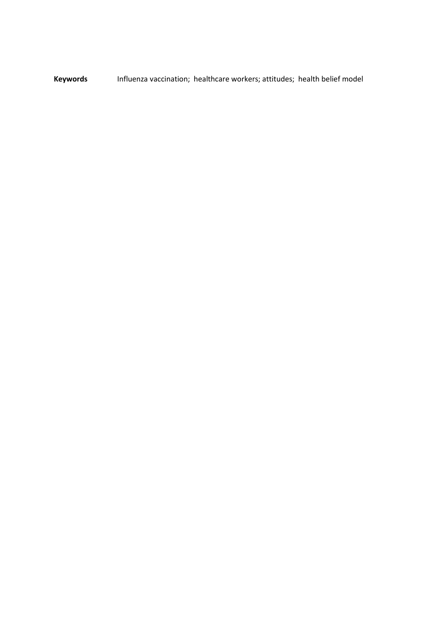**Keywords** Influenza vaccination; healthcare workers; attitudes; health belief model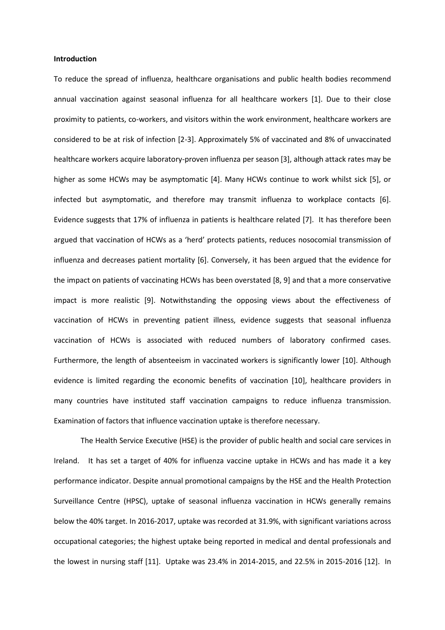#### **Introduction**

To reduce the spread of influenza, healthcare organisations and public health bodies recommend annual vaccination against seasonal influenza for all healthcare workers [1]. Due to their close proximity to patients, co-workers, and visitors within the work environment, healthcare workers are considered to be at risk of infection [2-3]. Approximately 5% of vaccinated and 8% of unvaccinated healthcare workers acquire laboratory-proven influenza per season [3], although attack rates may be higher as some HCWs may be asymptomatic [4]. Many HCWs continue to work whilst sick [5], or infected but asymptomatic, and therefore may transmit influenza to workplace contacts [6]. Evidence suggests that 17% of influenza in patients is healthcare related [7]. It has therefore been argued that vaccination of HCWs as a 'herd' protects patients, reduces nosocomial transmission of influenza and decreases patient mortality [6]. Conversely, it has been argued that the evidence for the impact on patients of vaccinating HCWs has been overstated [8, 9] and that a more conservative impact is more realistic [9]. Notwithstanding the opposing views about the effectiveness of vaccination of HCWs in preventing patient illness, evidence suggests that seasonal influenza vaccination of HCWs is associated with reduced numbers of laboratory confirmed cases. Furthermore, the length of absenteeism in vaccinated workers is significantly lower [10]. Although evidence is limited regarding the economic benefits of vaccination [10], healthcare providers in many countries have instituted staff vaccination campaigns to reduce influenza transmission. Examination of factors that influence vaccination uptake is therefore necessary.

The Health Service Executive (HSE) is the provider of public health and social care services in Ireland. It has set a target of 40% for influenza vaccine uptake in HCWs and has made it a key performance indicator. Despite annual promotional campaigns by the HSE and the Health Protection Surveillance Centre (HPSC), uptake of seasonal influenza vaccination in HCWs generally remains below the 40% target. In 2016-2017, uptake was recorded at 31.9%, with significant variations across occupational categories; the highest uptake being reported in medical and dental professionals and the lowest in nursing staff [11]. Uptake was 23.4% in 2014-2015, and 22.5% in 2015-2016 [12]. In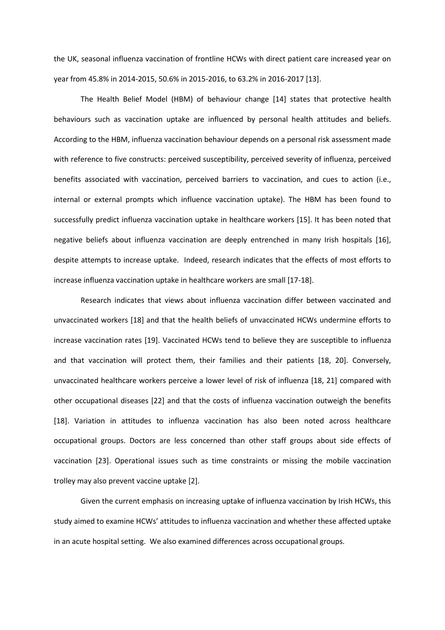the UK, seasonal influenza vaccination of frontline HCWs with direct patient care increased year on year from 45.8% in 2014-2015, 50.6% in 2015-2016, to 63.2% in 2016-2017 [13].

The Health Belief Model (HBM) of behaviour change [14] states that protective health behaviours such as vaccination uptake are influenced by personal health attitudes and beliefs. According to the HBM, influenza vaccination behaviour depends on a personal risk assessment made with reference to five constructs: perceived susceptibility, perceived severity of influenza, perceived benefits associated with vaccination, perceived barriers to vaccination, and cues to action (i.e., internal or external prompts which influence vaccination uptake). The HBM has been found to successfully predict influenza vaccination uptake in healthcare workers [15]. It has been noted that negative beliefs about influenza vaccination are deeply entrenched in many Irish hospitals [16], despite attempts to increase uptake. Indeed, research indicates that the effects of most efforts to increase influenza vaccination uptake in healthcare workers are small [17-18].

Research indicates that views about influenza vaccination differ between vaccinated and unvaccinated workers [18] and that the health beliefs of unvaccinated HCWs undermine efforts to increase vaccination rates [19]. Vaccinated HCWs tend to believe they are susceptible to influenza and that vaccination will protect them, their families and their patients [18, 20]. Conversely, unvaccinated healthcare workers perceive a lower level of risk of influenza [18, 21] compared with other occupational diseases [22] and that the costs of influenza vaccination outweigh the benefits [18]. Variation in attitudes to influenza vaccination has also been noted across healthcare occupational groups. Doctors are less concerned than other staff groups about side effects of vaccination [23]. Operational issues such as time constraints or missing the mobile vaccination trolley may also prevent vaccine uptake [2].

Given the current emphasis on increasing uptake of influenza vaccination by Irish HCWs, this study aimed to examine HCWs' attitudes to influenza vaccination and whether these affected uptake in an acute hospital setting. We also examined differences across occupational groups.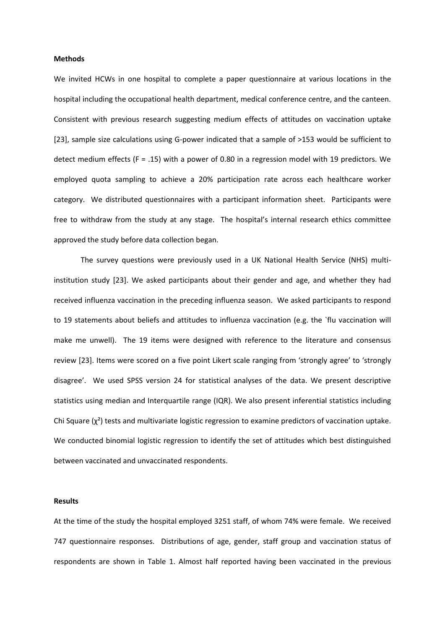#### **Methods**

We invited HCWs in one hospital to complete a paper questionnaire at various locations in the hospital including the occupational health department, medical conference centre, and the canteen. Consistent with previous research suggesting medium effects of attitudes on vaccination uptake [23], sample size calculations using G-power indicated that a sample of >153 would be sufficient to detect medium effects (F = .15) with a power of 0.80 in a regression model with 19 predictors. We employed quota sampling to achieve a 20% participation rate across each healthcare worker category. We distributed questionnaires with a participant information sheet. Participants were free to withdraw from the study at any stage. The hospital's internal research ethics committee approved the study before data collection began.

The survey questions were previously used in a UK National Health Service (NHS) multiinstitution study [23]. We asked participants about their gender and age, and whether they had received influenza vaccination in the preceding influenza season. We asked participants to respond to 19 statements about beliefs and attitudes to influenza vaccination (e.g. the `flu vaccination will make me unwell). The 19 items were designed with reference to the literature and consensus review [23]. Items were scored on a five point Likert scale ranging from 'strongly agree' to 'strongly disagree'. We used SPSS version 24 for statistical analyses of the data. We present descriptive statistics using median and Interquartile range (IQR). We also present inferential statistics including Chi Square  $(\chi^2)$  tests and multivariate logistic regression to examine predictors of vaccination uptake. We conducted binomial logistic regression to identify the set of attitudes which best distinguished between vaccinated and unvaccinated respondents.

#### **Results**

At the time of the study the hospital employed 3251 staff, of whom 74% were female. We received 747 questionnaire responses. Distributions of age, gender, staff group and vaccination status of respondents are shown in Table 1. Almost half reported having been vaccinated in the previous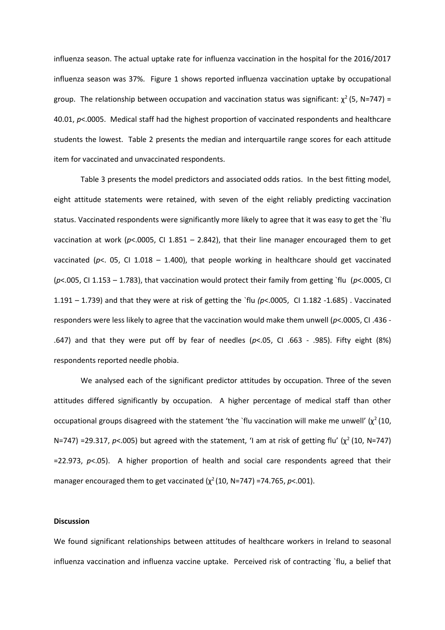influenza season. The actual uptake rate for influenza vaccination in the hospital for the 2016/2017 influenza season was 37%. Figure 1 shows reported influenza vaccination uptake by occupational group. The relationship between occupation and vaccination status was significant:  $\chi^2$  (5, N=747) = 40.01, *p*<.0005. Medical staff had the highest proportion of vaccinated respondents and healthcare students the lowest. Table 2 presents the median and interquartile range scores for each attitude item for vaccinated and unvaccinated respondents.

Table 3 presents the model predictors and associated odds ratios. In the best fitting model, eight attitude statements were retained, with seven of the eight reliably predicting vaccination status. Vaccinated respondents were significantly more likely to agree that it was easy to get the `flu vaccination at work (*p*<.0005, CI 1.851 – 2.842), that their line manager encouraged them to get vaccinated (*p*<. 05, CI 1.018 – 1.400), that people working in healthcare should get vaccinated (*p*<.005, CI 1.153 – 1.783), that vaccination would protect their family from getting `flu (*p*<.0005, CI 1.191 – 1.739) and that they were at risk of getting the `flu *(p*<.0005, CI 1.182 -1.685) . Vaccinated responders were less likely to agree that the vaccination would make them unwell (*p*<.0005, CI .436 - .647) and that they were put off by fear of needles (*p*<.05, CI .663 - .985). Fifty eight (8%) respondents reported needle phobia.

We analysed each of the significant predictor attitudes by occupation. Three of the seven attitudes differed significantly by occupation. A higher percentage of medical staff than other occupational groups disagreed with the statement 'the `flu vaccination will make me unwell'  $(χ²(10,$ N=747) =29.317, *p*<.005) but agreed with the statement, 'I am at risk of getting flu' (χ<sup>2</sup> (10, N=747) =22.973, *p*<.05). A higher proportion of health and social care respondents agreed that their manager encouraged them to get vaccinated  $(\chi^2(10, N=747) = 74.765, p < .001)$ .

### **Discussion**

We found significant relationships between attitudes of healthcare workers in Ireland to seasonal influenza vaccination and influenza vaccine uptake. Perceived risk of contracting `flu, a belief that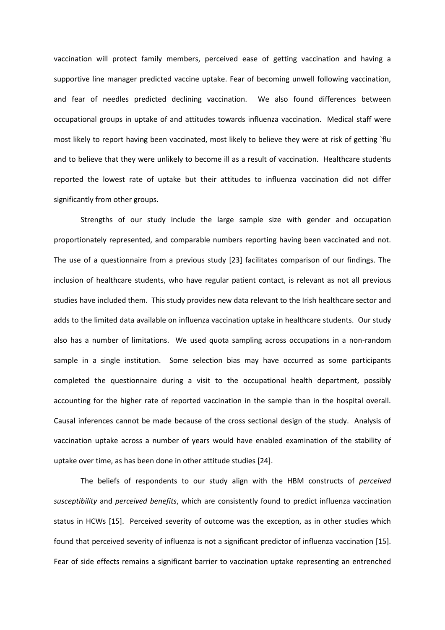vaccination will protect family members, perceived ease of getting vaccination and having a supportive line manager predicted vaccine uptake. Fear of becoming unwell following vaccination, and fear of needles predicted declining vaccination. We also found differences between occupational groups in uptake of and attitudes towards influenza vaccination. Medical staff were most likely to report having been vaccinated, most likely to believe they were at risk of getting `flu and to believe that they were unlikely to become ill as a result of vaccination. Healthcare students reported the lowest rate of uptake but their attitudes to influenza vaccination did not differ significantly from other groups.

Strengths of our study include the large sample size with gender and occupation proportionately represented, and comparable numbers reporting having been vaccinated and not. The use of a questionnaire from a previous study [23] facilitates comparison of our findings. The inclusion of healthcare students, who have regular patient contact, is relevant as not all previous studies have included them. This study provides new data relevant to the Irish healthcare sector and adds to the limited data available on influenza vaccination uptake in healthcare students. Our study also has a number of limitations. We used quota sampling across occupations in a non-random sample in a single institution. Some selection bias may have occurred as some participants completed the questionnaire during a visit to the occupational health department, possibly accounting for the higher rate of reported vaccination in the sample than in the hospital overall. Causal inferences cannot be made because of the cross sectional design of the study. Analysis of vaccination uptake across a number of years would have enabled examination of the stability of uptake over time, as has been done in other attitude studies [24].

The beliefs of respondents to our study align with the HBM constructs of *perceived susceptibility* and *perceived benefits*, which are consistently found to predict influenza vaccination status in HCWs [15]. Perceived severity of outcome was the exception, as in other studies which found that perceived severity of influenza is not a significant predictor of influenza vaccination [15]. Fear of side effects remains a significant barrier to vaccination uptake representing an entrenched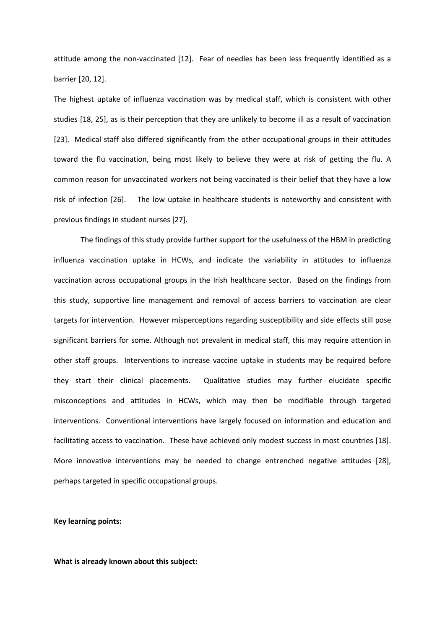attitude among the non-vaccinated [12]. Fear of needles has been less frequently identified as a barrier [20, 12].

The highest uptake of influenza vaccination was by medical staff, which is consistent with other studies [18, 25], as is their perception that they are unlikely to become ill as a result of vaccination [23]. Medical staff also differed significantly from the other occupational groups in their attitudes toward the flu vaccination, being most likely to believe they were at risk of getting the flu. A common reason for unvaccinated workers not being vaccinated is their belief that they have a low risk of infection [26]. The low uptake in healthcare students is noteworthy and consistent with previous findings in student nurses [27].

The findings of this study provide further support for the usefulness of the HBM in predicting influenza vaccination uptake in HCWs, and indicate the variability in attitudes to influenza vaccination across occupational groups in the Irish healthcare sector. Based on the findings from this study, supportive line management and removal of access barriers to vaccination are clear targets for intervention. However misperceptions regarding susceptibility and side effects still pose significant barriers for some. Although not prevalent in medical staff, this may require attention in other staff groups. Interventions to increase vaccine uptake in students may be required before they start their clinical placements. Qualitative studies may further elucidate specific misconceptions and attitudes in HCWs, which may then be modifiable through targeted interventions. Conventional interventions have largely focused on information and education and facilitating access to vaccination. These have achieved only modest success in most countries [18]. More innovative interventions may be needed to change entrenched negative attitudes [28], perhaps targeted in specific occupational groups.

### **Key learning points:**

**What is already known about this subject:**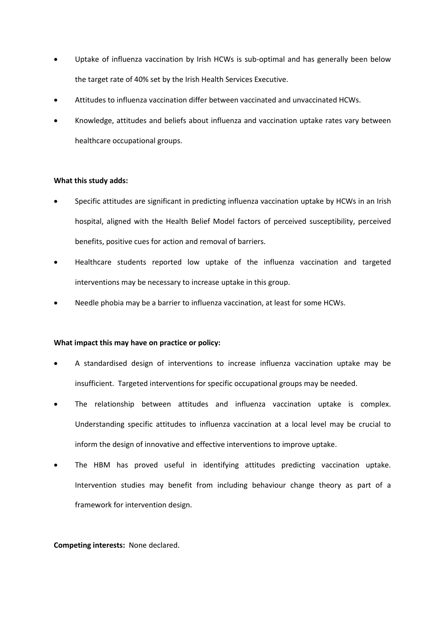- Uptake of influenza vaccination by Irish HCWs is sub-optimal and has generally been below the target rate of 40% set by the Irish Health Services Executive.
- Attitudes to influenza vaccination differ between vaccinated and unvaccinated HCWs.
- Knowledge, attitudes and beliefs about influenza and vaccination uptake rates vary between healthcare occupational groups.

### **What this study adds:**

- Specific attitudes are significant in predicting influenza vaccination uptake by HCWs in an Irish hospital, aligned with the Health Belief Model factors of perceived susceptibility, perceived benefits, positive cues for action and removal of barriers.
- Healthcare students reported low uptake of the influenza vaccination and targeted interventions may be necessary to increase uptake in this group.
- Needle phobia may be a barrier to influenza vaccination, at least for some HCWs.

#### **What impact this may have on practice or policy:**

- A standardised design of interventions to increase influenza vaccination uptake may be insufficient. Targeted interventions for specific occupational groups may be needed.
- The relationship between attitudes and influenza vaccination uptake is complex. Understanding specific attitudes to influenza vaccination at a local level may be crucial to inform the design of innovative and effective interventions to improve uptake.
- The HBM has proved useful in identifying attitudes predicting vaccination uptake. Intervention studies may benefit from including behaviour change theory as part of a framework for intervention design.

#### **Competing interests:** None declared.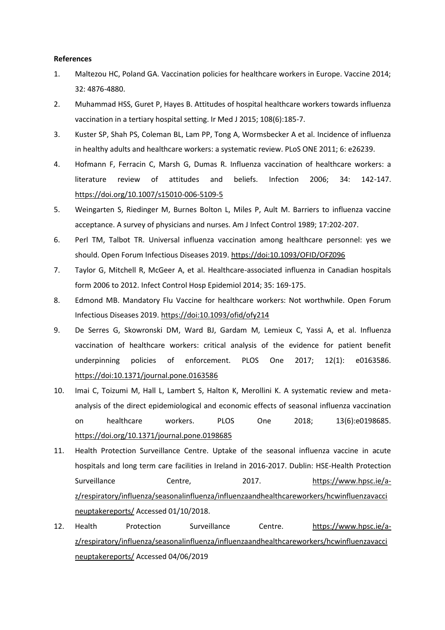#### **References**

- 1. Maltezou HC, Poland GA. Vaccination policies for healthcare workers in Europe. Vaccine 2014; 32: 4876-4880.
- 2. Muhammad HSS, Guret P, Hayes B. Attitudes of hospital healthcare workers towards influenza vaccination in a tertiary hospital setting. Ir Med J 2015; 108(6):185-7.
- 3. Kuster SP, Shah PS, Coleman BL, Lam PP, Tong A, Wormsbecker A et al. Incidence of influenza in healthy adults and healthcare workers: a systematic review. PLoS ONE 2011; 6: e26239.
- 4. Hofmann F, Ferracin C, Marsh G, Dumas R. Influenza vaccination of healthcare workers: a literature review of attitudes and beliefs. Infection 2006; 34: 142-147. <https://doi.org/10.1007/s15010-006-5109-5>
- 5. Weingarten S, Riedinger M, Burnes Bolton L, Miles P, Ault M. Barriers to influenza vaccine acceptance. A survey of physicians and nurses. Am J Infect Control 1989; 17:202-207.
- 6. Perl TM, Talbot TR. Universal influenza vaccination among healthcare personnel: yes we should. Open Forum Infectious Diseases 2019.<https://doi:10.1093/OFID/OFZ096>
- 7. Taylor G, Mitchell R, McGeer A, et al. Healthcare-associated influenza in Canadian hospitals form 2006 to 2012. Infect Control Hosp Epidemiol 2014; 35: 169-175.
- 8. Edmond MB. Mandatory Flu Vaccine for healthcare workers: Not worthwhile. Open Forum Infectious Diseases 2019.<https://doi:10.1093/ofid/ofy214>
- 9. De Serres G, Skowronski DM, Ward BJ, Gardam M, Lemieux C, Yassi A, et al. Influenza vaccination of healthcare workers: critical analysis of the evidence for patient benefit underpinning policies of enforcement. PLOS One 2017; 12(1): e0163586. <https://doi:10.1371/journal.pone.0163586>
- 10. Imai C, Toizumi M, Hall L, Lambert S, Halton K, Merollini K. A systematic review and metaanalysis of the direct epidemiological and economic effects of seasonal influenza vaccination on healthcare workers. PLOS One 2018; 13(6):e0198685. <https://doi.org/10.1371/journal.pone.0198685>
- 11. Health Protection Surveillance Centre. Uptake of the seasonal influenza vaccine in acute hospitals and long term care facilities in Ireland in 2016-2017. Dublin: HSE-Health Protection Surveillance Centre, 2017. [https://www.hpsc.ie/a](https://www.hpsc.ie/a-z/respiratory/influenza/seasonalinfluenza/influenzaandhealthcareworkers/hcwinfluenzavaccineuptakereports/)[z/respiratory/influenza/seasonalinfluenza/influenzaandhealthcareworkers/hcwinfluenzavacci](https://www.hpsc.ie/a-z/respiratory/influenza/seasonalinfluenza/influenzaandhealthcareworkers/hcwinfluenzavaccineuptakereports/) [neuptakereports/](https://www.hpsc.ie/a-z/respiratory/influenza/seasonalinfluenza/influenzaandhealthcareworkers/hcwinfluenzavaccineuptakereports/) Accessed 01/10/2018.
- 12. Health Protection Surveillance Centre. [https://www.hpsc.ie/a](https://www.hpsc.ie/a-z/respiratory/influenza/seasonalinfluenza/influenzaandhealthcareworkers/hcwinfluenzavaccineuptakereports/)[z/respiratory/influenza/seasonalinfluenza/influenzaandhealthcareworkers/hcwinfluenzavacci](https://www.hpsc.ie/a-z/respiratory/influenza/seasonalinfluenza/influenzaandhealthcareworkers/hcwinfluenzavaccineuptakereports/) [neuptakereports/](https://www.hpsc.ie/a-z/respiratory/influenza/seasonalinfluenza/influenzaandhealthcareworkers/hcwinfluenzavaccineuptakereports/) Accessed 04/06/2019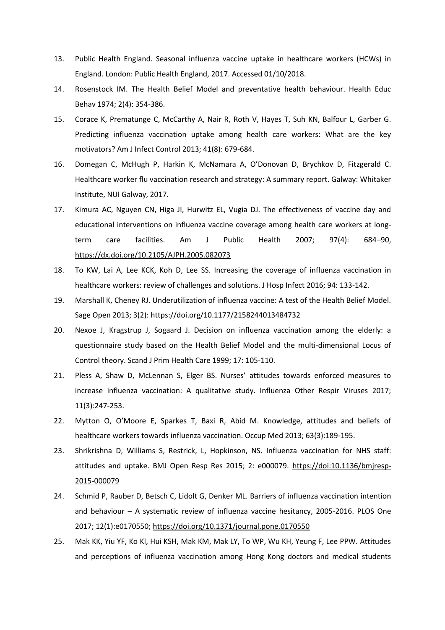- 13. Public Health England. Seasonal influenza vaccine uptake in healthcare workers (HCWs) in England. London: Public Health England, 2017. Accessed 01/10/2018.
- 14. Rosenstock IM. The Health Belief Model and preventative health behaviour. Health Educ Behav 1974; 2(4): 354-386.
- 15. Corace K, Prematunge C, McCarthy A, Nair R, Roth V, Hayes T, Suh KN, Balfour L, Garber G. Predicting influenza vaccination uptake among health care workers: What are the key motivators? Am J Infect Control 2013; 41(8): 679-684.
- 16. Domegan C, McHugh P, Harkin K, McNamara A, O'Donovan D, Brychkov D, Fitzgerald C. Healthcare worker flu vaccination research and strategy: A summary report. Galway: Whitaker Institute, NUI Galway, 2017.
- 17. Kimura AC, Nguyen CN, Higa JI, Hurwitz EL, Vugia DJ. The effectiveness of vaccine day and educational interventions on influenza vaccine coverage among health care workers at longterm care facilities. Am J Public Health 2007; 97(4): 684–90, <https://dx.doi.org/10.2105/AJPH.2005.082073>
- 18. To KW, Lai A, Lee KCK, Koh D, Lee SS. Increasing the coverage of influenza vaccination in healthcare workers: review of challenges and solutions. J Hosp Infect 2016; 94: 133-142.
- 19. Marshall K, Cheney RJ. Underutilization of influenza vaccine: A test of the Health Belief Model. Sage Open 2013; 3(2)[: https://doi.org/10.1177/2158244013484732](https://doi.org/10.1177/2158244013484732)
- 20. Nexoe J, Kragstrup J, Sogaard J. Decision on influenza vaccination among the elderly: a questionnaire study based on the Health Belief Model and the multi-dimensional Locus of Control theory. Scand J Prim Health Care 1999; 17: 105-110.
- 21. Pless A, Shaw D, McLennan S, Elger BS. Nurses' attitudes towards enforced measures to increase influenza vaccination: A qualitative study. Influenza Other Respir Viruses 2017; 11(3):247-253.
- 22. Mytton O, O'Moore E, Sparkes T, Baxi R, Abid M. Knowledge, attitudes and beliefs of healthcare workers towards influenza vaccination. Occup Med 2013; 63(3):189-195.
- 23. Shrikrishna D, Williams S, Restrick, L, Hopkinson, NS. Influenza vaccination for NHS staff: attitudes and uptake. BMJ Open Resp Res 2015; 2: e000079. [https://doi:10.1136/bmjresp-](https://doi:10.1136/bmjresp-2015-000079)[2015-000079](https://doi:10.1136/bmjresp-2015-000079)
- 24. Schmid P, Rauber D, Betsch C, Lidolt G, Denker ML. Barriers of influenza vaccination intention and behaviour – A systematic review of influenza vaccine hesitancy, 2005-2016. PLOS One 2017; 12(1):e0170550;<https://doi.org/10.1371/journal.pone.0170550>
- 25. Mak KK, Yiu YF, Ko Kl, Hui KSH, Mak KM, Mak LY, To WP, Wu KH, Yeung F, Lee PPW. Attitudes and perceptions of influenza vaccination among Hong Kong doctors and medical students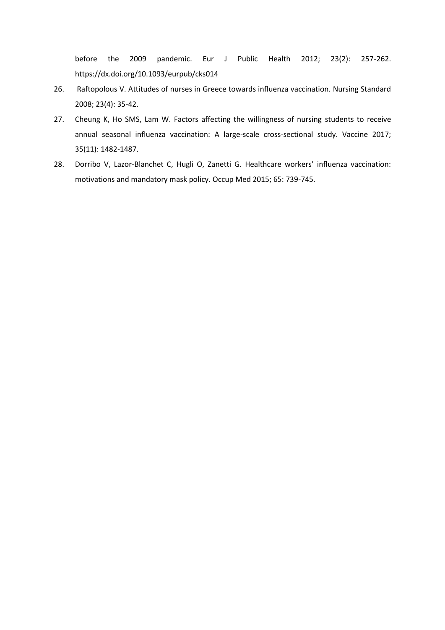before the 2009 pandemic. Eur J Public Health 2012; 23(2): 257-262. <https://dx.doi.org/10.1093/eurpub/cks014>

- 26. Raftopolous V. Attitudes of nurses in Greece towards influenza vaccination. Nursing Standard 2008; 23(4): 35-42.
- 27. Cheung K, Ho SMS, Lam W. Factors affecting the willingness of nursing students to receive annual seasonal influenza vaccination: A large-scale cross-sectional study. Vaccine 2017; 35(11): 1482-1487.
- 28. Dorribo V, Lazor-Blanchet C, Hugli O, Zanetti G. Healthcare workers' influenza vaccination: motivations and mandatory mask policy. Occup Med 2015; 65: 739-745.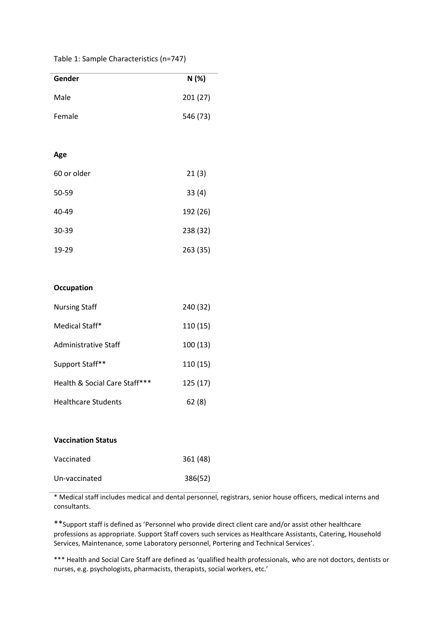| Table 1: Sample Characteristics (n=747) |  |  |
|-----------------------------------------|--|--|
|-----------------------------------------|--|--|

| Gender      | N(%)     |
|-------------|----------|
| Male        | 201 (27) |
| Female      | 546 (73) |
|             |          |
| Age         |          |
| 60 or older | 21(3)    |
| 50-59       | 33(4)    |
| 40-49       | 192 (26) |
| 30-39       | 238 (32) |
| 19-29       | 263 (35) |
|             |          |
|             |          |

## **Occupation**

| <b>Nursing Staff</b>          | 240 (32) |
|-------------------------------|----------|
| Medical Staff*                | 110(15)  |
| Administrative Staff          | 100(13)  |
| Support Staff**               | 110(15)  |
| Health & Social Care Staff*** | 125(17)  |
| <b>Healthcare Students</b>    | 62(8)    |

| <b>Vaccination Status</b> |          |
|---------------------------|----------|
| Vaccinated                | 361 (48) |
| Un-vaccinated             | 386(52)  |

\* Medical staff includes medical and dental personnel, registrars, senior house officers, medical interns and consultants.

\*\*Support staff is defined as 'Personnel who provide direct client care and/or assist other healthcare professions as appropriate. Support Staff covers such services as Healthcare Assistants, Catering, Household Services, Maintenance, some Laboratory personnel, Portering and Technical Services'.

\*\*\* Health and Social Care Staff are defined as 'qualified health professionals, who are not doctors, dentists or nurses, e.g. psychologists, pharmacists, therapists, social workers, etc.'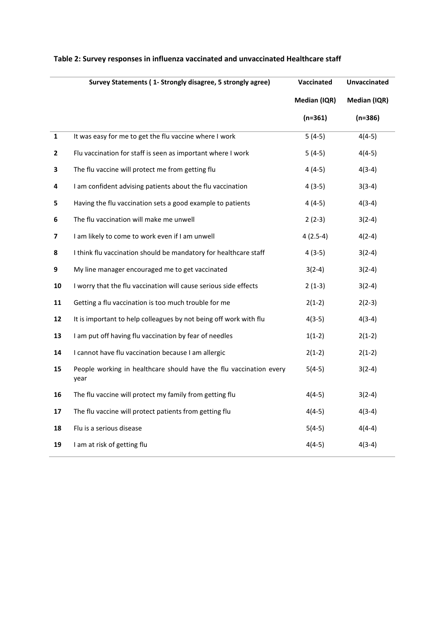|              | Survey Statements (1- Strongly disagree, 5 strongly agree)                 | Vaccinated   | <b>Unvaccinated</b> |
|--------------|----------------------------------------------------------------------------|--------------|---------------------|
|              |                                                                            | Median (IQR) | Median (IQR)        |
|              |                                                                            | $(n=361)$    | $(n=386)$           |
| $\mathbf 1$  | It was easy for me to get the flu vaccine where I work                     | $5(4-5)$     | $4(4-5)$            |
| $\mathbf{2}$ | Flu vaccination for staff is seen as important where I work                | $5(4-5)$     | $4(4-5)$            |
| 3            | The flu vaccine will protect me from getting flu                           | $4(4-5)$     | $4(3-4)$            |
| 4            | I am confident advising patients about the flu vaccination                 | $4(3-5)$     | $3(3-4)$            |
| 5            | Having the flu vaccination sets a good example to patients                 | $4(4-5)$     | $4(3-4)$            |
| 6            | The flu vaccination will make me unwell                                    | $2(2-3)$     | $3(2-4)$            |
| 7            | I am likely to come to work even if I am unwell                            | $4(2.5-4)$   | $4(2-4)$            |
| 8            | I think flu vaccination should be mandatory for healthcare staff           | $4(3-5)$     | $3(2-4)$            |
| 9            | My line manager encouraged me to get vaccinated                            | $3(2-4)$     | $3(2-4)$            |
| 10           | I worry that the flu vaccination will cause serious side effects           | $2(1-3)$     | $3(2-4)$            |
| 11           | Getting a flu vaccination is too much trouble for me                       | $2(1-2)$     | $2(2-3)$            |
| 12           | It is important to help colleagues by not being off work with flu          | $4(3-5)$     | $4(3-4)$            |
| 13           | I am put off having flu vaccination by fear of needles                     | $1(1-2)$     | $2(1-2)$            |
| 14           | I cannot have flu vaccination because I am allergic                        | $2(1-2)$     | $2(1-2)$            |
| 15           | People working in healthcare should have the flu vaccination every<br>year | $5(4-5)$     | $3(2-4)$            |
| 16           | The flu vaccine will protect my family from getting flu                    | $4(4-5)$     | $3(2-4)$            |
| 17           | The flu vaccine will protect patients from getting flu                     | $4(4-5)$     | $4(3-4)$            |
| 18           | Flu is a serious disease                                                   | $5(4-5)$     | $4(4-4)$            |
| 19           | I am at risk of getting flu                                                | $4(4-5)$     | $4(3-4)$            |

# **Table 2: Survey responses in influenza vaccinated and unvaccinated Healthcare staff**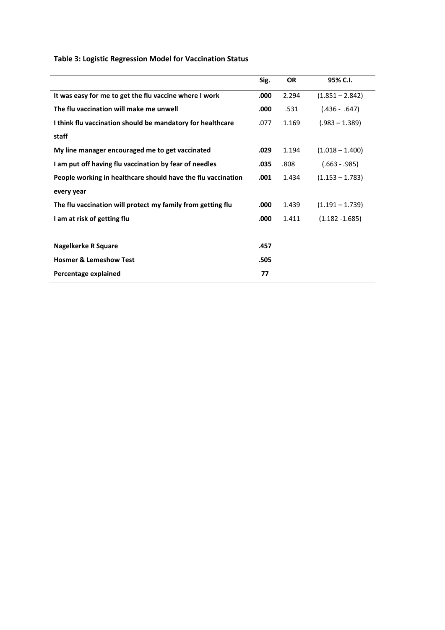# **Table 3: Logistic Regression Model for Vaccination Status**

|                                                              | Sig. | <b>OR</b> | 95% C.I.          |
|--------------------------------------------------------------|------|-----------|-------------------|
| It was easy for me to get the flu vaccine where I work       | .000 | 2.294     | $(1.851 - 2.842)$ |
| The flu vaccination will make me unwell                      | .000 | .531      | $(.436 - .647)$   |
| I think flu vaccination should be mandatory for healthcare   | .077 | 1.169     | $(.983 - 1.389)$  |
| staff                                                        |      |           |                   |
| My line manager encouraged me to get vaccinated              | .029 | 1.194     | $(1.018 - 1.400)$ |
| I am put off having flu vaccination by fear of needles       | .035 | .808      | $(.663 - .985)$   |
| People working in healthcare should have the flu vaccination | .001 | 1.434     | $(1.153 - 1.783)$ |
| every year                                                   |      |           |                   |
| The flu vaccination will protect my family from getting flu  | .000 | 1.439     | $(1.191 - 1.739)$ |
| I am at risk of getting flu                                  | .000 | 1.411     | $(1.182 - 1.685)$ |
|                                                              |      |           |                   |
| <b>Nagelkerke R Square</b>                                   | .457 |           |                   |
| <b>Hosmer &amp; Lemeshow Test</b>                            | .505 |           |                   |
| Percentage explained                                         | 77   |           |                   |